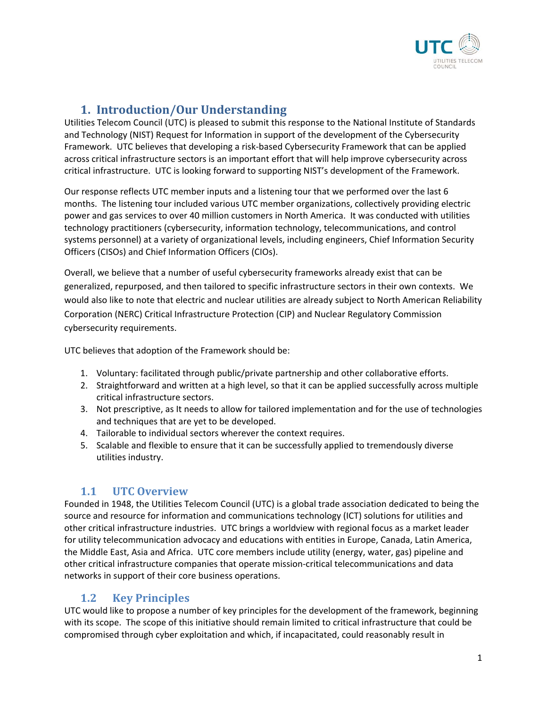

# **1. Introduction/Our Understanding**

Utilities Telecom Council (UTC) is pleased to submit this response to the National Institute of Standards and Technology (NIST) Request for Information in support of the development of the Cybersecurity Framework. UTC believes that developing a risk-based Cybersecurity Framework that can be applied across critical infrastructure sectors is an important effort that will help improve cybersecurity across critical infrastructure. UTC is looking forward to supporting NIST's development of the Framework.

Our response reflects UTC member inputs and a listening tour that we performed over the last 6 months. The listening tour included various UTC member organizations, collectively providing electric power and gas services to over 40 million customers in North America. It was conducted with utilities technology practitioners (cybersecurity, information technology, telecommunications, and control systems personnel) at a variety of organizational levels, including engineers, Chief Information Security Officers (CISOs) and Chief Information Officers (CIOs).

Overall, we believe that a number of useful cybersecurity frameworks already exist that can be generalized, repurposed, and then tailored to specific infrastructure sectors in their own contexts. We would also like to note that electric and nuclear utilities are already subject to North American Reliability Corporation (NERC) Critical Infrastructure Protection (CIP) and Nuclear Regulatory Commission cybersecurity requirements.

UTC believes that adoption of the Framework should be:

- 1. Voluntary: facilitated through public/private partnership and other collaborative efforts.
- 2. Straightforward and written at a high level, so that it can be applied successfully across multiple critical infrastructure sectors.
- 3. Not prescriptive, as It needs to allow for tailored implementation and for the use of technologies and techniques that are yet to be developed.
- 4. Tailorable to individual sectors wherever the context requires.
- 5. Scalable and flexible to ensure that it can be successfully applied to tremendously diverse utilities industry.

#### **1.1 UTC Overview**

Founded in 1948, the Utilities Telecom Council (UTC) is a global trade association dedicated to being the source and resource for information and communications technology (ICT) solutions for utilities and other critical infrastructure industries. UTC brings a worldview with regional focus as a market leader for utility telecommunication advocacy and educations with entities in Europe, Canada, Latin America, the Middle East, Asia and Africa. UTC core members include utility (energy, water, gas) pipeline and other critical infrastructure companies that operate mission-critical telecommunications and data networks in support of their core business operations.

## **1.2 Key Principles**

UTC would like to propose a number of key principles for the development of the framework, beginning with its scope. The scope of this initiative should remain limited to critical infrastructure that could be compromised through cyber exploitation and which, if incapacitated, could reasonably result in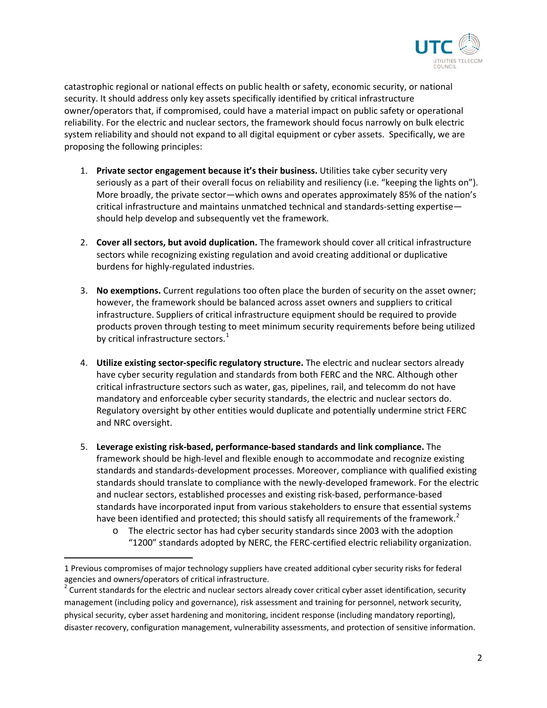

catastrophic regional or national effects on public health or safety, economic security, or national security. It should address only key assets specifically identified by critical infrastructure owner/operators that, if compromised, could have a material impact on public safety or operational reliability. For the electric and nuclear sectors, the framework should focus narrowly on bulk electric system reliability and should not expand to all digital equipment or cyber assets. Specifically, we are proposing the following principles:

- 1. **Private sector engagement because it's their business.** Utilities take cyber security very seriously as a part of their overall focus on reliability and resiliency (i.e. "keeping the lights on"). More broadly, the private sector—which owns and operates approximately 85% of the nation's critical infrastructure and maintains unmatched technical and standards-setting expertise should help develop and subsequently vet the framework.
- 2. **Cover all sectors, but avoid duplication.** The framework should cover all critical infrastructure sectors while recognizing existing regulation and avoid creating additional or duplicative burdens for highly-regulated industries.
- 3. **No exemptions.** Current regulations too often place the burden of security on the asset owner; however, the framework should be balanced across asset owners and suppliers to critical infrastructure. Suppliers of critical infrastructure equipment should be required to provide products proven through testing to meet minimum security requirements before being utilized by critical infrastructure sectors. $<sup>1</sup>$  $<sup>1</sup>$  $<sup>1</sup>$ </sup>
- 4. **Utilize existing sector-specific regulatory structure.** The electric and nuclear sectors already have cyber security regulation and standards from both FERC and the NRC. Although other critical infrastructure sectors such as water, gas, pipelines, rail, and telecomm do not have mandatory and enforceable cyber security standards, the electric and nuclear sectors do. Regulatory oversight by other entities would duplicate and potentially undermine strict FERC and NRC oversight.
- 5. **Leverage existing risk-based, performance-based standards and link compliance.** The framework should be high-level and flexible enough to accommodate and recognize existing standards and standards-development processes. Moreover, compliance with qualified existing standards should translate to compliance with the newly-developed framework. For the electric and nuclear sectors, established processes and existing risk-based, performance-based standards have incorporated input from various stakeholders to ensure that essential systems have been identified and protected; this should satisfy all requirements of the framework.<sup>[2](#page-1-1)</sup>
	- o The electric sector has had cyber security standards since 2003 with the adoption "1200" standards adopted by NERC, the FERC-certified electric reliability organization.

<span id="page-1-0"></span><sup>1</sup> Previous compromises of major technology suppliers have created additional cyber security risks for federal agencies and owners/operators of critical infrastructure.

<span id="page-1-1"></span> $2$  Current standards for the electric and nuclear sectors already cover critical cyber asset identification, security management (including policy and governance), risk assessment and training for personnel, network security, physical security, cyber asset hardening and monitoring, incident response (including mandatory reporting), disaster recovery, configuration management, vulnerability assessments, and protection of sensitive information.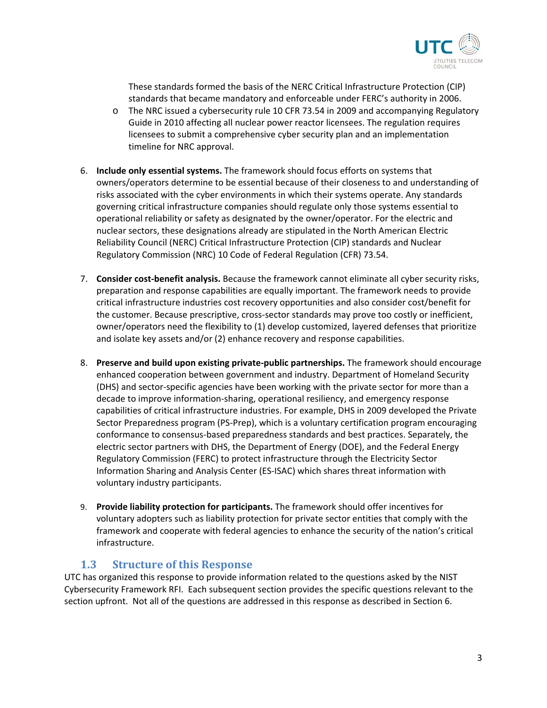

These standards formed the basis of the NERC Critical Infrastructure Protection (CIP) standards that became mandatory and enforceable under FERC's authority in 2006.

- o The NRC issued a cybersecurity rule 10 CFR 73.54 in 2009 and accompanying Regulatory Guide in 2010 affecting all nuclear power reactor licensees. The regulation requires licensees to submit a comprehensive cyber security plan and an implementation timeline for NRC approval.
- 6. **Include only essential systems.** The framework should focus efforts on systems that owners/operators determine to be essential because of their closeness to and understanding of risks associated with the cyber environments in which their systems operate. Any standards governing critical infrastructure companies should regulate only those systems essential to operational reliability or safety as designated by the owner/operator. For the electric and nuclear sectors, these designations already are stipulated in the North American Electric Reliability Council (NERC) Critical Infrastructure Protection (CIP) standards and Nuclear Regulatory Commission (NRC) 10 Code of Federal Regulation (CFR) 73.54.
- 7. **Consider cost-benefit analysis.** Because the framework cannot eliminate all cyber security risks, preparation and response capabilities are equally important. The framework needs to provide critical infrastructure industries cost recovery opportunities and also consider cost/benefit for the customer. Because prescriptive, cross-sector standards may prove too costly or inefficient, owner/operators need the flexibility to (1) develop customized, layered defenses that prioritize and isolate key assets and/or (2) enhance recovery and response capabilities.
- 8. **Preserve and build upon existing private-public partnerships.** The framework should encourage enhanced cooperation between government and industry. Department of Homeland Security (DHS) and sector-specific agencies have been working with the private sector for more than a decade to improve information-sharing, operational resiliency, and emergency response capabilities of critical infrastructure industries. For example, DHS in 2009 developed the Private Sector Preparedness program (PS-Prep), which is a voluntary certification program encouraging conformance to consensus-based preparedness standards and best practices. Separately, the electric sector partners with DHS, the Department of Energy (DOE), and the Federal Energy Regulatory Commission (FERC) to protect infrastructure through the Electricity Sector Information Sharing and Analysis Center (ES-ISAC) which shares threat information with voluntary industry participants.
- 9. **Provide liability protection for participants.** The framework should offer incentives for voluntary adopters such as liability protection for private sector entities that comply with the framework and cooperate with federal agencies to enhance the security of the nation's critical infrastructure.

#### **1.3 Structure of this Response**

UTC has organized this response to provide information related to the questions asked by the NIST Cybersecurity Framework RFI. Each subsequent section provides the specific questions relevant to the section upfront. Not all of the questions are addressed in this response as described in Section 6.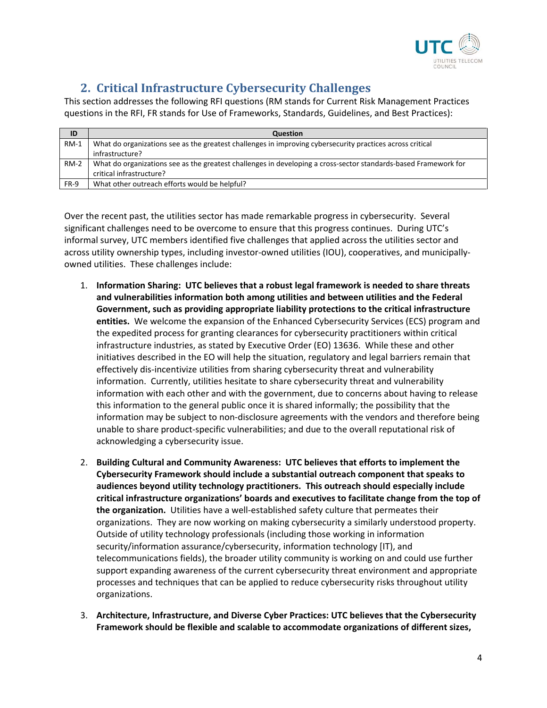

## **2. Critical Infrastructure Cybersecurity Challenges**

This section addresses the following RFI questions (RM stands for Current Risk Management Practices questions in the RFI, FR stands for Use of Frameworks, Standards, Guidelines, and Best Practices):

| ID     | <b>Question</b>                                                                                                 |
|--------|-----------------------------------------------------------------------------------------------------------------|
| $RM-1$ | What do organizations see as the greatest challenges in improving cybersecurity practices across critical       |
|        | infrastructure?                                                                                                 |
| $RM-2$ | What do organizations see as the greatest challenges in developing a cross-sector standards-based Framework for |
|        | critical infrastructure?                                                                                        |
| FR-9   | What other outreach efforts would be helpful?                                                                   |

Over the recent past, the utilities sector has made remarkable progress in cybersecurity. Several significant challenges need to be overcome to ensure that this progress continues. During UTC's informal survey, UTC members identified five challenges that applied across the utilities sector and across utility ownership types, including investor-owned utilities (IOU), cooperatives, and municipallyowned utilities. These challenges include:

- 1. **Information Sharing: UTC believes that a robust legal framework is needed to share threats and vulnerabilities information both among utilities and between utilities and the Federal Government, such as providing appropriate liability protections to the critical infrastructure entities.** We welcome the expansion of the Enhanced Cybersecurity Services (ECS) program and the expedited process for granting clearances for cybersecurity practitioners within critical infrastructure industries, as stated by Executive Order (EO) 13636. While these and other initiatives described in the EO will help the situation, regulatory and legal barriers remain that effectively dis-incentivize utilities from sharing cybersecurity threat and vulnerability information. Currently, utilities hesitate to share cybersecurity threat and vulnerability information with each other and with the government, due to concerns about having to release this information to the general public once it is shared informally; the possibility that the information may be subject to non-disclosure agreements with the vendors and therefore being unable to share product-specific vulnerabilities; and due to the overall reputational risk of acknowledging a cybersecurity issue.
- 2. **Building Cultural and Community Awareness: UTC believes that efforts to implement the Cybersecurity Framework should include a substantial outreach component that speaks to audiences beyond utility technology practitioners. This outreach should especially include critical infrastructure organizations' boards and executives to facilitate change from the top of the organization.** Utilities have a well-established safety culture that permeates their organizations. They are now working on making cybersecurity a similarly understood property. Outside of utility technology professionals (including those working in information security/information assurance/cybersecurity, information technology [IT), and telecommunications fields), the broader utility community is working on and could use further support expanding awareness of the current cybersecurity threat environment and appropriate processes and techniques that can be applied to reduce cybersecurity risks throughout utility organizations.
- 3. **Architecture, Infrastructure, and Diverse Cyber Practices: UTC believes that the Cybersecurity Framework should be flexible and scalable to accommodate organizations of different sizes,**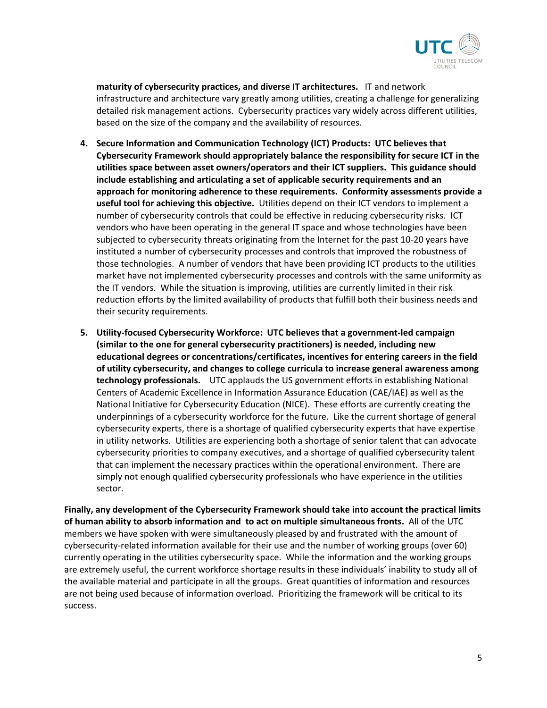

**maturity of cybersecurity practices, and diverse IT architectures.** IT and network infrastructure and architecture vary greatly among utilities, creating a challenge for generalizing detailed risk management actions. Cybersecurity practices vary widely across different utilities, based on the size of the company and the availability of resources.

- **4. Secure Information and Communication Technology (ICT) Products: UTC believes that Cybersecurity Framework should appropriately balance the responsibility for secure ICT in the utilities space between asset owners/operators and their ICT suppliers. This guidance should include establishing and articulating a set of applicable security requirements and an approach for monitoring adherence to these requirements. Conformity assessments provide a useful tool for achieving this objective.** Utilities depend on their ICT vendors to implement a number of cybersecurity controls that could be effective in reducing cybersecurity risks. ICT vendors who have been operating in the general IT space and whose technologies have been subjected to cybersecurity threats originating from the Internet for the past 10-20 years have instituted a number of cybersecurity processes and controls that improved the robustness of those technologies. A number of vendors that have been providing ICT products to the utilities market have not implemented cybersecurity processes and controls with the same uniformity as the IT vendors. While the situation is improving, utilities are currently limited in their risk reduction efforts by the limited availability of products that fulfill both their business needs and their security requirements.
- **5. Utility-focused Cybersecurity Workforce: UTC believes that a government-led campaign (similar to the one for general cybersecurity practitioners) is needed, including new educational degrees or concentrations/certificates, incentives for entering careers in the field of utility cybersecurity, and changes to college curricula to increase general awareness among technology professionals.** UTC applauds the US government efforts in establishing National Centers of Academic Excellence in Information Assurance Education (CAE/IAE) as well as the National Initiative for Cybersecurity Education (NICE). These efforts are currently creating the underpinnings of a cybersecurity workforce for the future. Like the current shortage of general cybersecurity experts, there is a shortage of qualified cybersecurity experts that have expertise in utility networks. Utilities are experiencing both a shortage of senior talent that can advocate cybersecurity priorities to company executives, and a shortage of qualified cybersecurity talent that can implement the necessary practices within the operational environment. There are simply not enough qualified cybersecurity professionals who have experience in the utilities sector.

**Finally, any development of the Cybersecurity Framework should take into account the practical limits of human ability to absorb information and to act on multiple simultaneous fronts.** All of the UTC members we have spoken with were simultaneously pleased by and frustrated with the amount of cybersecurity-related information available for their use and the number of working groups (over 60) currently operating in the utilities cybersecurity space. While the information and the working groups are extremely useful, the current workforce shortage results in these individuals' inability to study all of the available material and participate in all the groups. Great quantities of information and resources are not being used because of information overload. Prioritizing the framework will be critical to its success.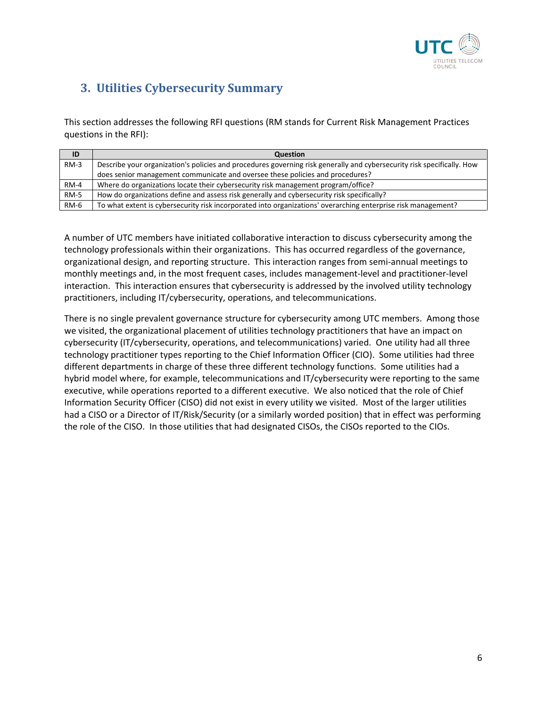

# **3. Utilities Cybersecurity Summary**

This section addresses the following RFI questions (RM stands for Current Risk Management Practices questions in the RFI):

| ID          | Question                                                                                                               |
|-------------|------------------------------------------------------------------------------------------------------------------------|
| $RM-3$      | Describe your organization's policies and procedures governing risk generally and cybersecurity risk specifically. How |
|             | does senior management communicate and oversee these policies and procedures?                                          |
| $RM-4$      | Where do organizations locate their cybersecurity risk management program/office?                                      |
| <b>RM-5</b> | How do organizations define and assess risk generally and cybersecurity risk specifically?                             |
| <b>RM-6</b> | To what extent is cybersecurity risk incorporated into organizations' overarching enterprise risk management?          |

A number of UTC members have initiated collaborative interaction to discuss cybersecurity among the technology professionals within their organizations. This has occurred regardless of the governance, organizational design, and reporting structure. This interaction ranges from semi-annual meetings to monthly meetings and, in the most frequent cases, includes management-level and practitioner-level interaction. This interaction ensures that cybersecurity is addressed by the involved utility technology practitioners, including IT/cybersecurity, operations, and telecommunications.

There is no single prevalent governance structure for cybersecurity among UTC members. Among those we visited, the organizational placement of utilities technology practitioners that have an impact on cybersecurity (IT/cybersecurity, operations, and telecommunications) varied. One utility had all three technology practitioner types reporting to the Chief Information Officer (CIO). Some utilities had three different departments in charge of these three different technology functions. Some utilities had a hybrid model where, for example, telecommunications and IT/cybersecurity were reporting to the same executive, while operations reported to a different executive. We also noticed that the role of Chief Information Security Officer (CISO) did not exist in every utility we visited. Most of the larger utilities had a CISO or a Director of IT/Risk/Security (or a similarly worded position) that in effect was performing the role of the CISO. In those utilities that had designated CISOs, the CISOs reported to the CIOs.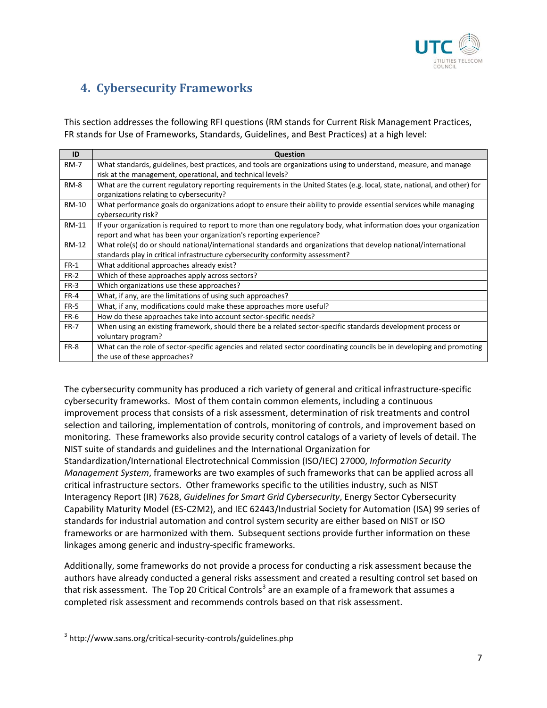

# **4. Cybersecurity Frameworks**

This section addresses the following RFI questions (RM stands for Current Risk Management Practices, FR stands for Use of Frameworks, Standards, Guidelines, and Best Practices) at a high level:

| ID           | Question                                                                                                                 |
|--------------|--------------------------------------------------------------------------------------------------------------------------|
| <b>RM-7</b>  | What standards, guidelines, best practices, and tools are organizations using to understand, measure, and manage         |
|              | risk at the management, operational, and technical levels?                                                               |
| <b>RM-8</b>  | What are the current regulatory reporting requirements in the United States (e.g. local, state, national, and other) for |
|              | organizations relating to cybersecurity?                                                                                 |
| <b>RM-10</b> | What performance goals do organizations adopt to ensure their ability to provide essential services while managing       |
|              | cybersecurity risk?                                                                                                      |
| RM-11        | If your organization is required to report to more than one regulatory body, what information does your organization     |
|              | report and what has been your organization's reporting experience?                                                       |
| <b>RM-12</b> | What role(s) do or should national/international standards and organizations that develop national/international         |
|              | standards play in critical infrastructure cybersecurity conformity assessment?                                           |
| $FR-1$       | What additional approaches already exist?                                                                                |
| $FR-2$       | Which of these approaches apply across sectors?                                                                          |
| $FR-3$       | Which organizations use these approaches?                                                                                |
| $FR-4$       | What, if any, are the limitations of using such approaches?                                                              |
| FR-5         | What, if any, modifications could make these approaches more useful?                                                     |
| FR-6         | How do these approaches take into account sector-specific needs?                                                         |
| <b>FR-7</b>  | When using an existing framework, should there be a related sector-specific standards development process or             |
|              | voluntary program?                                                                                                       |
| FR-8         | What can the role of sector-specific agencies and related sector coordinating councils be in developing and promoting    |
|              | the use of these approaches?                                                                                             |

The cybersecurity community has produced a rich variety of general and critical infrastructure-specific cybersecurity frameworks. Most of them contain common elements, including a continuous improvement process that consists of a risk assessment, determination of risk treatments and control selection and tailoring, implementation of controls, monitoring of controls, and improvement based on monitoring. These frameworks also provide security control catalogs of a variety of levels of detail. The NIST suite of standards and guidelines and the International Organization for Standardization/International Electrotechnical Commission (ISO/IEC) 27000, *Information Security Management System*, frameworks are two examples of such frameworks that can be applied across all critical infrastructure sectors. Other frameworks specific to the utilities industry, such as NIST Interagency Report (IR) 7628, *Guidelines for Smart Grid Cybersecurity*, Energy Sector Cybersecurity Capability Maturity Model (ES-C2M2), and IEC 62443/Industrial Society for Automation (ISA) 99 series of standards for industrial automation and control system security are either based on NIST or ISO frameworks or are harmonized with them. Subsequent sections provide further information on these linkages among generic and industry-specific frameworks.

Additionally, some frameworks do not provide a process for conducting a risk assessment because the authors have already conducted a general risks assessment and created a resulting control set based on that risk assessment. The Top 20 Critical Controls<sup>[3](#page-6-0)</sup> are an example of a framework that assumes a completed risk assessment and recommends controls based on that risk assessment.

<span id="page-6-0"></span><sup>&</sup>lt;sup>3</sup> http://www.sans.org/critical-security-controls/guidelines.php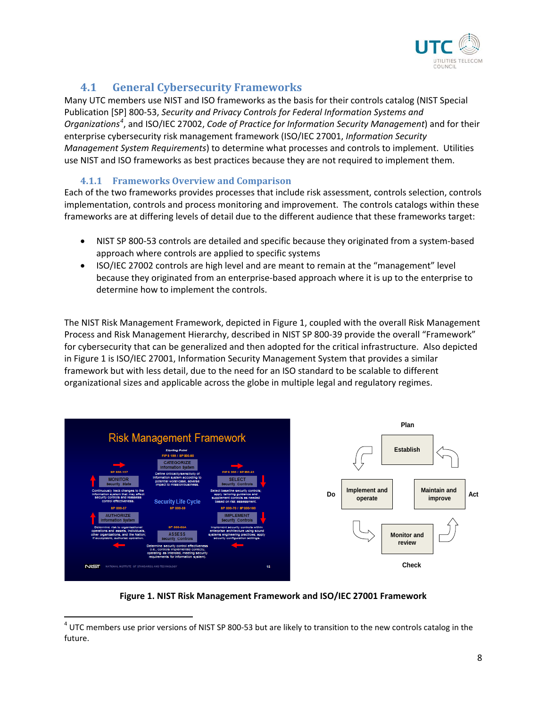

## **4.1 General Cybersecurity Frameworks**

Many UTC members use NIST and ISO frameworks as the basis for their controls catalog (NIST Special Publication [SP] 800-53, *Security and Privacy Controls for Federal Information Systems and Organizations[4](#page-7-0)* , and ISO/IEC 27002, *Code of Practice for Information Security Management*) and for their enterprise cybersecurity risk management framework (ISO/IEC 27001, *Information Security Management System Requirements*) to determine what processes and controls to implement. Utilities use NIST and ISO frameworks as best practices because they are not required to implement them.

#### **4.1.1 Frameworks Overview and Comparison**

Each of the two frameworks provides processes that include risk assessment, controls selection, controls implementation, controls and process monitoring and improvement. The controls catalogs within these frameworks are at differing levels of detail due to the different audience that these frameworks target:

- NIST SP 800-53 controls are detailed and specific because they originated from a system-based approach where controls are applied to specific systems
- ISO/IEC 27002 controls are high level and are meant to remain at the "management" level because they originated from an enterprise-based approach where it is up to the enterprise to determine how to implement the controls.

The NIST Risk Management Framework, depicted in Figure 1, coupled with the overall Risk Management Process and Risk Management Hierarchy, described in NIST SP 800-39 provide the overall "Framework" for cybersecurity that can be generalized and then adopted for the critical infrastructure. Also depicted in Figure 1 is ISO/IEC 27001, Information Security Management System that provides a similar framework but with less detail, due to the need for an ISO standard to be scalable to different organizational sizes and applicable across the globe in multiple legal and regulatory regimes.



**Figure 1. NIST Risk Management Framework and ISO/IEC 27001 Framework**

<span id="page-7-0"></span> $4$  UTC members use prior versions of NIST SP 800-53 but are likely to transition to the new controls catalog in the future.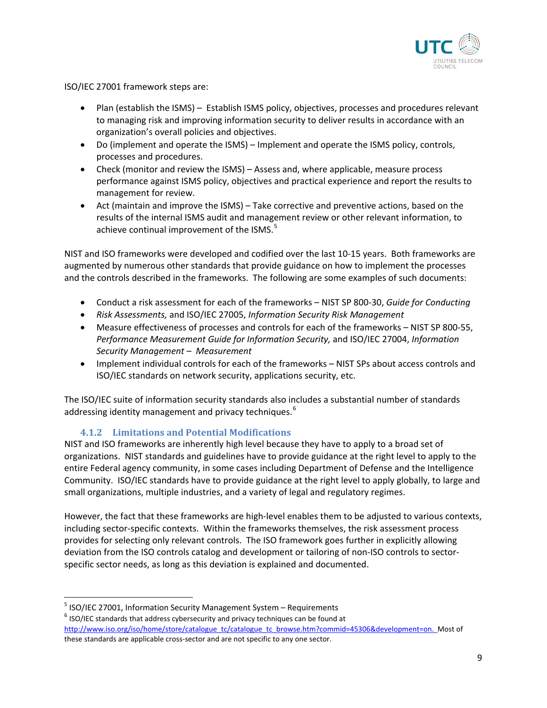

ISO/IEC 27001 framework steps are:

- Plan (establish the ISMS) Establish ISMS policy, objectives, processes and procedures relevant to managing risk and improving information security to deliver results in accordance with an organization's overall policies and objectives.
- Do (implement and operate the ISMS) Implement and operate the ISMS policy, controls, processes and procedures.
- Check (monitor and review the ISMS) Assess and, where applicable, measure process performance against ISMS policy, objectives and practical experience and report the results to management for review.
- Act (maintain and improve the ISMS) Take corrective and preventive actions, based on the results of the internal ISMS audit and management review or other relevant information, to achieve continual improvement of the ISMS.<sup>[5](#page-8-0)</sup>

NIST and ISO frameworks were developed and codified over the last 10-15 years. Both frameworks are augmented by numerous other standards that provide guidance on how to implement the processes and the controls described in the frameworks. The following are some examples of such documents:

- Conduct a risk assessment for each of the frameworks NIST SP 800-30, *Guide for Conducting*
- *Risk Assessments,* and ISO/IEC 27005, *Information Security Risk Management*
- Measure effectiveness of processes and controls for each of the frameworks NIST SP 800-55, *Performance Measurement Guide for Information Security,* and ISO/IEC 27004, *Information Security Management – Measurement*
- Implement individual controls for each of the frameworks NIST SPs about access controls and ISO/IEC standards on network security, applications security, etc.

The ISO/IEC suite of information security standards also includes a substantial number of standards addressing identity management and privacy techniques.<sup>[6](#page-8-1)</sup>

#### **4.1.2 Limitations and Potential Modifications**

NIST and ISO frameworks are inherently high level because they have to apply to a broad set of organizations. NIST standards and guidelines have to provide guidance at the right level to apply to the entire Federal agency community, in some cases including Department of Defense and the Intelligence Community. ISO/IEC standards have to provide guidance at the right level to apply globally, to large and small organizations, multiple industries, and a variety of legal and regulatory regimes.

However, the fact that these frameworks are high-level enables them to be adjusted to various contexts, including sector-specific contexts. Within the frameworks themselves, the risk assessment process provides for selecting only relevant controls. The ISO framework goes further in explicitly allowing deviation from the ISO controls catalog and development or tailoring of non-ISO controls to sectorspecific sector needs, as long as this deviation is explained and documented.

<span id="page-8-0"></span><sup>&</sup>lt;sup>5</sup> ISO/IEC 27001, Information Security Management System – Requirements 6 ISO/IEC standards that address cybersecurity and privacy techniques can be found at

<span id="page-8-1"></span>[http://www.iso.org/iso/home/store/catalogue\\_tc/catalogue\\_tc\\_browse.htm?commid=45306&development=on.](http://www.iso.org/iso/home/store/catalogue_tc/catalogue_tc_browse.htm?commid=45306&development=on) Most of these standards are applicable cross-sector and are not specific to any one sector.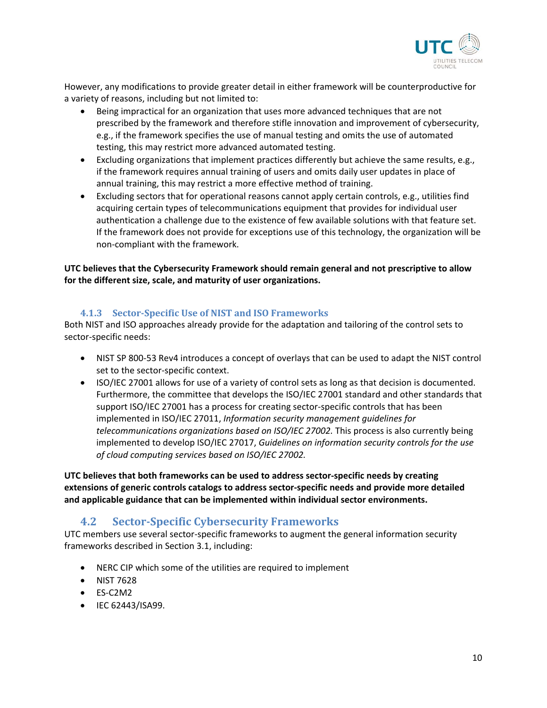

However, any modifications to provide greater detail in either framework will be counterproductive for a variety of reasons, including but not limited to:

- Being impractical for an organization that uses more advanced techniques that are not prescribed by the framework and therefore stifle innovation and improvement of cybersecurity, e.g., if the framework specifies the use of manual testing and omits the use of automated testing, this may restrict more advanced automated testing.
- Excluding organizations that implement practices differently but achieve the same results, e.g., if the framework requires annual training of users and omits daily user updates in place of annual training, this may restrict a more effective method of training.
- Excluding sectors that for operational reasons cannot apply certain controls, e.g., utilities find acquiring certain types of telecommunications equipment that provides for individual user authentication a challenge due to the existence of few available solutions with that feature set. If the framework does not provide for exceptions use of this technology, the organization will be non-compliant with the framework.

#### **UTC believes that the Cybersecurity Framework should remain general and not prescriptive to allow for the different size, scale, and maturity of user organizations.**

#### **4.1.3 Sector-Specific Use of NIST and ISO Frameworks**

Both NIST and ISO approaches already provide for the adaptation and tailoring of the control sets to sector-specific needs:

- NIST SP 800-53 Rev4 introduces a concept of overlays that can be used to adapt the NIST control set to the sector-specific context.
- ISO/IEC 27001 allows for use of a variety of control sets as long as that decision is documented. Furthermore, the committee that develops the ISO/IEC 27001 standard and other standards that support ISO/IEC 27001 has a process for creating sector-specific controls that has been implemented in ISO/IEC 27011, *Information security management guidelines for telecommunications organizations based on ISO/IEC 27002.* This process is also currently being implemented to develop ISO/IEC 27017, *Guidelines on information security controls for the use of cloud computing services based on ISO/IEC 27002.*

**UTC believes that both frameworks can be used to address sector-specific needs by creating extensions of generic controls catalogs to address sector-specific needs and provide more detailed and applicable guidance that can be implemented within individual sector environments.** 

## **4.2 Sector-Specific Cybersecurity Frameworks**

UTC members use several sector-specific frameworks to augment the general information security frameworks described in Section 3.1, including:

- NERC CIP which some of the utilities are required to implement
- NIST 7628
- ES-C2M2
- IEC 62443/ISA99.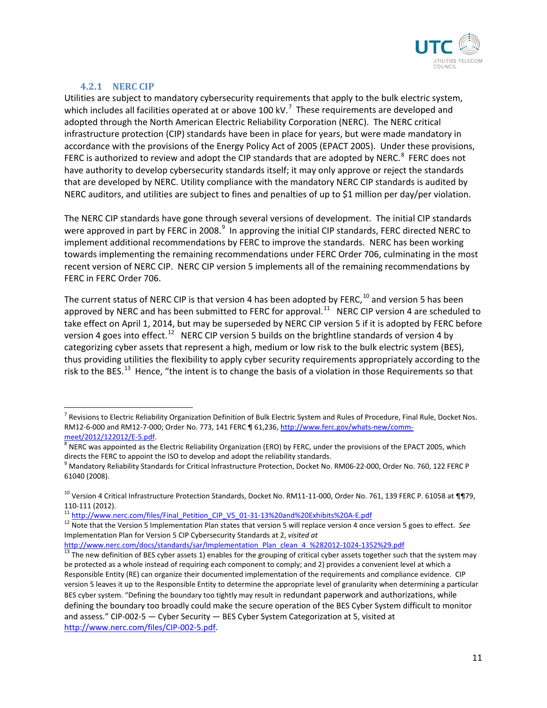

#### **4.2.1 NERC CIP**

 $\overline{a}$ 

Utilities are subject to mandatory cybersecurity requirements that apply to the bulk electric system, which includes all facilities operated at or above 100 kV.<sup>[7](#page-10-0)</sup> These requirements are developed and adopted through the North American Electric Reliability Corporation (NERC). The NERC critical infrastructure protection (CIP) standards have been in place for years, but were made mandatory in accordance with the provisions of the Energy Policy Act of 2005 (EPACT 2005). Under these provisions, FERC is authorized to review and adopt the CIP standards that are adopted by NERC. $^8$  $^8$  FERC does not have authority to develop cybersecurity standards itself; it may only approve or reject the standards that are developed by NERC. Utility compliance with the mandatory NERC CIP standards is audited by NERC auditors, and utilities are subject to fines and penalties of up to \$1 million per day/per violation.

The NERC CIP standards have gone through several versions of development. The initial CIP standards were approved in part by FERC in 2008. $^9$  $^9$  In approving the initial CIP standards, FERC directed NERC to implement additional recommendations by FERC to improve the standards. NERC has been working towards implementing the remaining recommendations under FERC Order 706, culminating in the most recent version of NERC CIP. NERC CIP version 5 implements all of the remaining recommendations by FERC in FERC Order 706.

The current status of NERC CIP is that version 4 has been adopted by FERC,  $^{10}$  $^{10}$  $^{10}$  and version 5 has been approved by NERC and has been submitted to FERC for approval.<sup>11</sup> NERC CIP version 4 are scheduled to take effect on April 1, 2014, but may be superseded by NERC CIP version 5 if it is adopted by FERC before version 4 goes into effect.<sup>[12](#page-10-5)</sup> NERC CIP version 5 builds on the brightline standards of version 4 by categorizing cyber assets that represent a high, medium or low risk to the bulk electric system (BES), thus providing utilities the flexibility to apply cyber security requirements appropriately according to the risk to the BES.<sup>[13](#page-10-6)</sup> Hence, "the intent is to change the basis of a violation in those Requirements so that

<span id="page-10-4"></span>

<span id="page-10-0"></span><sup>&</sup>lt;sup>7</sup> Revisions to Electric Reliability Organization Definition of Bulk Electric System and Rules of Procedure, Final Rule, Docket Nos. RM12-6-000 and RM12-7-000; Order No. 773, 141 FERC ¶ 61,236[, http://www.ferc.gov/whats-new/comm-](http://www.ferc.gov/whats-new/comm-meet/2012/122012/E-5.pdf)

<span id="page-10-1"></span>[meet/2012/122012/E-5.pdf.](http://www.ferc.gov/whats-new/comm-meet/2012/122012/E-5.pdf)<br><sup>8</sup> NERC was appointed as the Electric Reliability Organization (ERO) by FERC, under the provisions of the EPACT 2005, which

<span id="page-10-2"></span>directs the FERC to appoint the ISO to develop and adopt the reliability standards.<br><sup>9</sup> Mandatory Reliability Standards for Critical Infrastructure Protection, Docket No. RM06-22-000, Order No. 760, 122 FERC P 61040 (2008).

<span id="page-10-3"></span><sup>&</sup>lt;sup>10</sup> Version 4 Critical Infrastructure Protection Standards, Docket No. RM11-11-000, Order No. 761, 139 FERC P. 61058 at ¶¶79, 110-111 (2012).<br><sup>11</sup> [http://www.nerc.com/files/Final\\_Petition\\_CIP\\_V5\\_01-31-13%20and%20Exhibits%20A-E.pdf](http://www.nerc.com/files/Final_Petition_CIP_V5_01-31-13%20and%20Exhibits%20A-E.pdf)<br><sup>12</sup> Note that the Version 5 Implementation Plan states that version 5 will replace version 4 once version 5 goes to

<span id="page-10-5"></span>Implementation Plan for Version 5 CIP Cybersecurity Standards at 2, *visited at* 

<span id="page-10-6"></span>[http://www.nerc.com/docs/standards/sar/Implementation\\_Plan\\_clean\\_4\\_%282012-1024-1352%29.pdf](http://www.nerc.com/docs/standards/sar/Implementation_Plan_clean_4_%282012-1024-1352%29.pdf)<br><sup>13</sup> The new definition of BES cyber assets 1) enables for the grouping of critical cyber assets together such that the system may be protected as a whole instead of requiring each component to comply; and 2) provides a convenient level at which a Responsible Entity (RE) can organize their documented implementation of the requirements and compliance evidence. CIP version 5 leaves it up to the Responsible Entity to determine the appropriate level of granularity when determining a particular BES cyber system. "Defining the boundary too tightly may result in redundant paperwork and authorizations, while defining the boundary too broadly could make the secure operation of the BES Cyber System difficult to monitor and assess." CIP-002-5 — Cyber Security — BES Cyber System Categorization at 5, visited at [http://www.nerc.com/files/CIP-002-5.pdf.](http://www.nerc.com/files/CIP-002-5.pdf)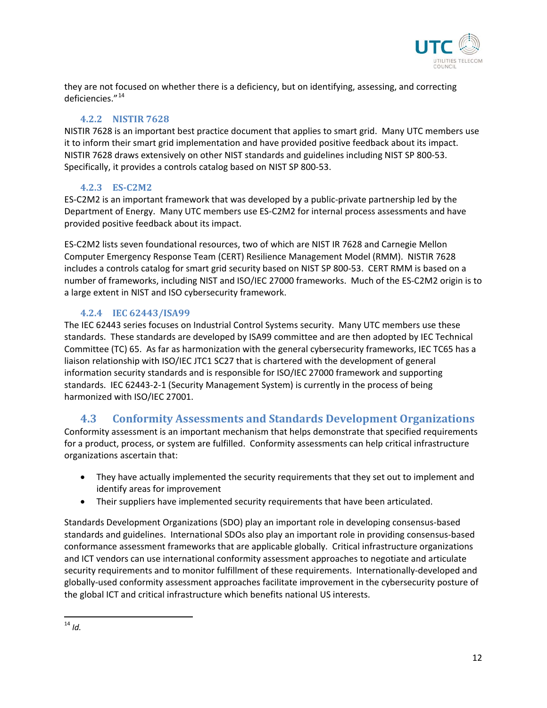

they are not focused on whether there is a deficiency, but on identifying, assessing, and correcting deficiencies."[14](#page-11-0)

#### **4.2.2 NISTIR 7628**

NISTIR 7628 is an important best practice document that applies to smart grid. Many UTC members use it to inform their smart grid implementation and have provided positive feedback about its impact. NISTIR 7628 draws extensively on other NIST standards and guidelines including NIST SP 800-53. Specifically, it provides a controls catalog based on NIST SP 800-53.

#### **4.2.3 ES-C2M2**

ES-C2M2 is an important framework that was developed by a public-private partnership led by the Department of Energy. Many UTC members use ES-C2M2 for internal process assessments and have provided positive feedback about its impact.

ES-C2M2 lists seven foundational resources, two of which are NIST IR 7628 and Carnegie Mellon Computer Emergency Response Team (CERT) Resilience Management Model (RMM). NISTIR 7628 includes a controls catalog for smart grid security based on NIST SP 800-53. CERT RMM is based on a number of frameworks, including NIST and ISO/IEC 27000 frameworks. Much of the ES-C2M2 origin is to a large extent in NIST and ISO cybersecurity framework.

#### **4.2.4 IEC 62443/ISA99**

The IEC 62443 series focuses on Industrial Control Systems security. Many UTC members use these standards. These standards are developed by ISA99 committee and are then adopted by IEC Technical Committee (TC) 65. As far as harmonization with the general cybersecurity frameworks, IEC TC65 has a liaison relationship with ISO/IEC JTC1 SC27 that is chartered with the development of general information security standards and is responsible for ISO/IEC 27000 framework and supporting standards. IEC 62443-2-1 (Security Management System) is currently in the process of being harmonized with ISO/IEC 27001.

## **4.3 Conformity Assessments and Standards Development Organizations**

Conformity assessment is an important mechanism that helps demonstrate that specified requirements for a product, process, or system are fulfilled. Conformity assessments can help critical infrastructure organizations ascertain that:

- They have actually implemented the security requirements that they set out to implement and identify areas for improvement
- Their suppliers have implemented security requirements that have been articulated.

Standards Development Organizations (SDO) play an important role in developing consensus-based standards and guidelines. International SDOs also play an important role in providing consensus-based conformance assessment frameworks that are applicable globally. Critical infrastructure organizations and ICT vendors can use international conformity assessment approaches to negotiate and articulate security requirements and to monitor fulfillment of these requirements. Internationally-developed and globally-used conformity assessment approaches facilitate improvement in the cybersecurity posture of the global ICT and critical infrastructure which benefits national US interests.

<span id="page-11-0"></span><sup>14</sup> *Id.*  $\overline{\phantom{a}}$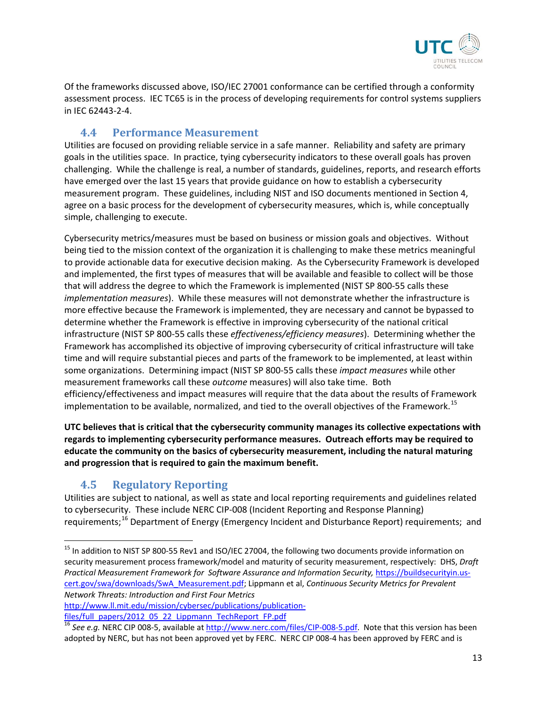

Of the frameworks discussed above, ISO/IEC 27001 conformance can be certified through a conformity assessment process. IEC TC65 is in the process of developing requirements for control systems suppliers in IEC 62443-2-4.

### **4.4 Performance Measurement**

Utilities are focused on providing reliable service in a safe manner. Reliability and safety are primary goals in the utilities space. In practice, tying cybersecurity indicators to these overall goals has proven challenging. While the challenge is real, a number of standards, guidelines, reports, and research efforts have emerged over the last 15 years that provide guidance on how to establish a cybersecurity measurement program. These guidelines, including NIST and ISO documents mentioned in Section 4, agree on a basic process for the development of cybersecurity measures, which is, while conceptually simple, challenging to execute.

Cybersecurity metrics/measures must be based on business or mission goals and objectives. Without being tied to the mission context of the organization it is challenging to make these metrics meaningful to provide actionable data for executive decision making. As the Cybersecurity Framework is developed and implemented, the first types of measures that will be available and feasible to collect will be those that will address the degree to which the Framework is implemented (NIST SP 800-55 calls these *implementation measures*). While these measures will not demonstrate whether the infrastructure is more effective because the Framework is implemented, they are necessary and cannot be bypassed to determine whether the Framework is effective in improving cybersecurity of the national critical infrastructure (NIST SP 800-55 calls these *effectiveness/efficiency measures*). Determining whether the Framework has accomplished its objective of improving cybersecurity of critical infrastructure will take time and will require substantial pieces and parts of the framework to be implemented, at least within some organizations. Determining impact (NIST SP 800-55 calls these *impact measures* while other measurement frameworks call these *outcome* measures) will also take time. Both efficiency/effectiveness and impact measures will require that the data about the results of Framework implementation to be available, normalized, and tied to the overall objectives of the Framework.<sup>[15](#page-12-0)</sup>

**UTC believes that is critical that the cybersecurity community manages its collective expectations with regards to implementing cybersecurity performance measures. Outreach efforts may be required to educate the community on the basics of cybersecurity measurement, including the natural maturing and progression that is required to gain the maximum benefit.**

## **4.5 Regulatory Reporting**

l

Utilities are subject to national, as well as state and local reporting requirements and guidelines related to cybersecurity. These include NERC CIP-008 (Incident Reporting and Response Planning) requirements;<sup>[16](#page-12-1)</sup> Department of Energy (Emergency Incident and Disturbance Report) requirements; and

<span id="page-12-0"></span><sup>&</sup>lt;sup>15</sup> In addition to NIST SP 800-55 Rev1 and ISO/IEC 27004, the following two documents provide information on security measurement process framework/model and maturity of security measurement, respectively: DHS, *Draft Practical Measurement Framework for Software Assurance and Information Security,* [https://buildsecurityin.us](https://buildsecurityin.us-cert.gov/swa/downloads/SwA_Measurement.pdf)[cert.gov/swa/downloads/SwA\\_Measurement.pdf;](https://buildsecurityin.us-cert.gov/swa/downloads/SwA_Measurement.pdf) Lippmann et al, *Continuous Security Metrics for Prevalent Network Threats: Introduction and First Four Metrics* 

[http://www.ll.mit.edu/mission/cybersec/publications/publication](http://www.ll.mit.edu/mission/cybersec/publications/publication-files/full_papers/2012_05_22_Lippmann_TechReport_FP.pdf)[files/full\\_papers/2012\\_05\\_22\\_Lippmann\\_TechReport\\_FP.pdf](http://www.ll.mit.edu/mission/cybersec/publications/publication-files/full_papers/2012_05_22_Lippmann_TechReport_FP.pdf)

<span id="page-12-1"></span><sup>&</sup>lt;sup>16</sup> See e.g. NERC CIP 008-5, available at [http://www.nerc.com/files/CIP-008-5.pdf.](http://www.nerc.com/files/CIP-008-5.pdf) Note that this version has been adopted by NERC, but has not been approved yet by FERC. NERC CIP 008-4 has been approved by FERC and is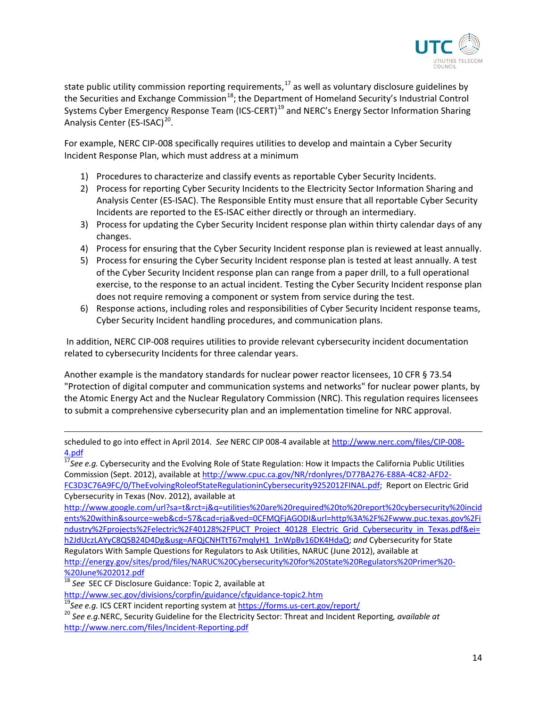

state public utility commission reporting requirements,  $17$  as well as voluntary disclosure guidelines by the Securities and Exchange Commission<sup>[18](#page-13-1)</sup>; the Department of Homeland Security's Industrial Control Systems Cyber Emergency Response Team (ICS-CERT)<sup>[19](#page-13-2)</sup> and NERC's Energy Sector Information Sharing Analysis Center (ES-ISAC)<sup>[20](#page-13-3)</sup>.

For example, NERC CIP-008 specifically requires utilities to develop and maintain a Cyber Security Incident Response Plan, which must address at a minimum

- 1) Procedures to characterize and classify events as reportable Cyber Security Incidents.
- 2) Process for reporting Cyber Security Incidents to the Electricity Sector Information Sharing and Analysis Center (ES-ISAC). The Responsible Entity must ensure that all reportable Cyber Security Incidents are reported to the ES-ISAC either directly or through an intermediary.
- 3) Process for updating the Cyber Security Incident response plan within thirty calendar days of any changes.
- 4) Process for ensuring that the Cyber Security Incident response plan is reviewed at least annually.
- 5) Process for ensuring the Cyber Security Incident response plan is tested at least annually. A test of the Cyber Security Incident response plan can range from a paper drill, to a full operational exercise, to the response to an actual incident. Testing the Cyber Security Incident response plan does not require removing a component or system from service during the test.
- 6) Response actions, including roles and responsibilities of Cyber Security Incident response teams, Cyber Security Incident handling procedures, and communication plans.

In addition, NERC CIP-008 requires utilities to provide relevant cybersecurity incident documentation related to cybersecurity Incidents for three calendar years.

Another example is the mandatory standards for nuclear power reactor licensees, 10 CFR § 73.54 "Protection of digital computer and communication systems and networks" for nuclear power plants, by the Atomic Energy Act and the Nuclear Regulatory Commission (NRC). This regulation requires licensees to submit a comprehensive cybersecurity plan and an implementation timeline for NRC approval.

scheduled to go into effect in April 2014. *See* NERC CIP 008-4 available at [http://www.nerc.com/files/CIP-008-](http://www.nerc.com/files/CIP-008-4.pdf) [4.pdf](http://www.nerc.com/files/CIP-008-4.pdf)

<span id="page-13-0"></span><sup>17</sup>See e.g. Cybersecurity and the Evolving Role of State Regulation: How it Impacts the California Public Utilities Commission (Sept. 2012), available a[t http://www.cpuc.ca.gov/NR/rdonlyres/D77BA276-E88A-4C82-AFD2-](http://www.cpuc.ca.gov/NR/rdonlyres/D77BA276-E88A-4C82-AFD2-FC3D3C76A9FC/0/TheEvolvingRoleofStateRegulationinCybersecurity9252012FINAL.pdf) [FC3D3C76A9FC/0/TheEvolvingRoleofStateRegulationinCybersecurity9252012FINAL.pdf;](http://www.cpuc.ca.gov/NR/rdonlyres/D77BA276-E88A-4C82-AFD2-FC3D3C76A9FC/0/TheEvolvingRoleofStateRegulationinCybersecurity9252012FINAL.pdf) Report on Electric Grid Cybersecurity in Texas (Nov. 2012), available at

[http://www.google.com/url?sa=t&rct=j&q=utilities%20are%20required%20to%20report%20cybersecurity%20incid](http://www.google.com/url?sa=t&rct=j&q=utilities%20are%20required%20to%20report%20cybersecurity%20incidents%20within&source=web&cd=57&cad=rja&ved=0CFMQFjAGODI&url=http%3A%2F%2Fwww.puc.texas.gov%2Findustry%2Fprojects%2Felectric%2F40128%2FPUCT_Project_40128_Electric_Grid_Cybersecurity_in_Texas.pdf&ei=h2JdUczLAYyC8QSB24D4Dg&usg=AFQjCNHTtT67mqlyH1_1nWpBv16DK4HdaQ) [ents%20within&source=web&cd=57&cad=rja&ved=0CFMQFjAGODI&url=http%3A%2F%2Fwww.puc.texas.gov%2Fi](http://www.google.com/url?sa=t&rct=j&q=utilities%20are%20required%20to%20report%20cybersecurity%20incidents%20within&source=web&cd=57&cad=rja&ved=0CFMQFjAGODI&url=http%3A%2F%2Fwww.puc.texas.gov%2Findustry%2Fprojects%2Felectric%2F40128%2FPUCT_Project_40128_Electric_Grid_Cybersecurity_in_Texas.pdf&ei=h2JdUczLAYyC8QSB24D4Dg&usg=AFQjCNHTtT67mqlyH1_1nWpBv16DK4HdaQ) [ndustry%2Fprojects%2Felectric%2F40128%2FPUCT\\_Project\\_40128\\_Electric\\_Grid\\_Cybersecurity\\_in\\_Texas.pdf&ei=](http://www.google.com/url?sa=t&rct=j&q=utilities%20are%20required%20to%20report%20cybersecurity%20incidents%20within&source=web&cd=57&cad=rja&ved=0CFMQFjAGODI&url=http%3A%2F%2Fwww.puc.texas.gov%2Findustry%2Fprojects%2Felectric%2F40128%2FPUCT_Project_40128_Electric_Grid_Cybersecurity_in_Texas.pdf&ei=h2JdUczLAYyC8QSB24D4Dg&usg=AFQjCNHTtT67mqlyH1_1nWpBv16DK4HdaQ) [h2JdUczLAYyC8QSB24D4Dg&usg=AFQjCNHTtT67mqlyH1\\_1nWpBv16DK4HdaQ;](http://www.google.com/url?sa=t&rct=j&q=utilities%20are%20required%20to%20report%20cybersecurity%20incidents%20within&source=web&cd=57&cad=rja&ved=0CFMQFjAGODI&url=http%3A%2F%2Fwww.puc.texas.gov%2Findustry%2Fprojects%2Felectric%2F40128%2FPUCT_Project_40128_Electric_Grid_Cybersecurity_in_Texas.pdf&ei=h2JdUczLAYyC8QSB24D4Dg&usg=AFQjCNHTtT67mqlyH1_1nWpBv16DK4HdaQ) *and* Cybersecurity for State Regulators With Sample Questions for Regulators to Ask Utilities, NARUC (June 2012), available at [http://energy.gov/sites/prod/files/NARUC%20Cybersecurity%20for%20State%20Regulators%20Primer%20-](http://energy.gov/sites/prod/files/NARUC%20Cybersecurity%20for%20State%20Regulators%20Primer%20-%20June%202012.pdf) [%20June%202012.pdf](http://energy.gov/sites/prod/files/NARUC%20Cybersecurity%20for%20State%20Regulators%20Primer%20-%20June%202012.pdf)

<span id="page-13-1"></span><sup>18</sup> *See* SEC CF Disclosure Guidance: Topic 2, available at

 $\overline{\phantom{a}}$ 

<span id="page-13-3"></span>

<span id="page-13-2"></span><http://www.sec.gov/divisions/corpfin/guidance/cfguidance-topic2.htm><br><sup>19</sup>See e.g. ICS CERT incident reporting system a[t https://forms.us-cert.gov/report/](https://forms.us-cert.gov/report/)<br><sup>20</sup>See e.g.NERC, Security Guideline for the Electricity Sector: Thre <http://www.nerc.com/files/Incident-Reporting.pdf>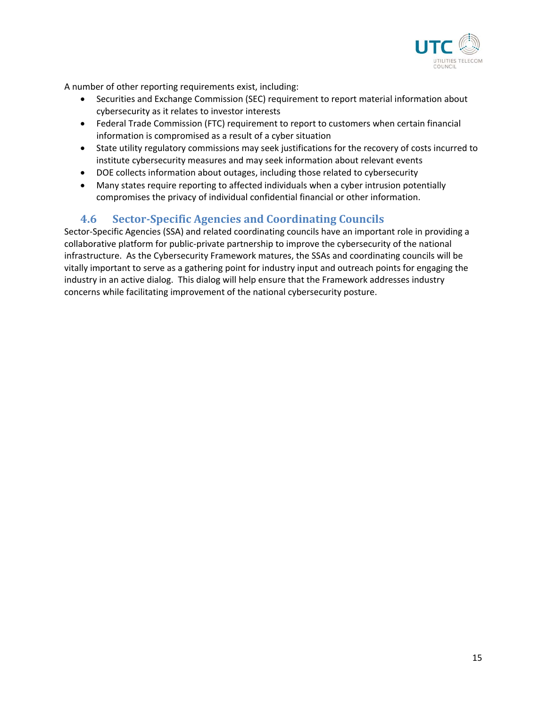

A number of other reporting requirements exist, including:

- Securities and Exchange Commission (SEC) requirement to report material information about cybersecurity as it relates to investor interests
- Federal Trade Commission (FTC) requirement to report to customers when certain financial information is compromised as a result of a cyber situation
- State utility regulatory commissions may seek justifications for the recovery of costs incurred to institute cybersecurity measures and may seek information about relevant events
- DOE collects information about outages, including those related to cybersecurity
- Many states require reporting to affected individuals when a cyber intrusion potentially compromises the privacy of individual confidential financial or other information.

## **4.6 Sector-Specific Agencies and Coordinating Councils**

Sector-Specific Agencies (SSA) and related coordinating councils have an important role in providing a collaborative platform for public-private partnership to improve the cybersecurity of the national infrastructure. As the Cybersecurity Framework matures, the SSAs and coordinating councils will be vitally important to serve as a gathering point for industry input and outreach points for engaging the industry in an active dialog. This dialog will help ensure that the Framework addresses industry concerns while facilitating improvement of the national cybersecurity posture.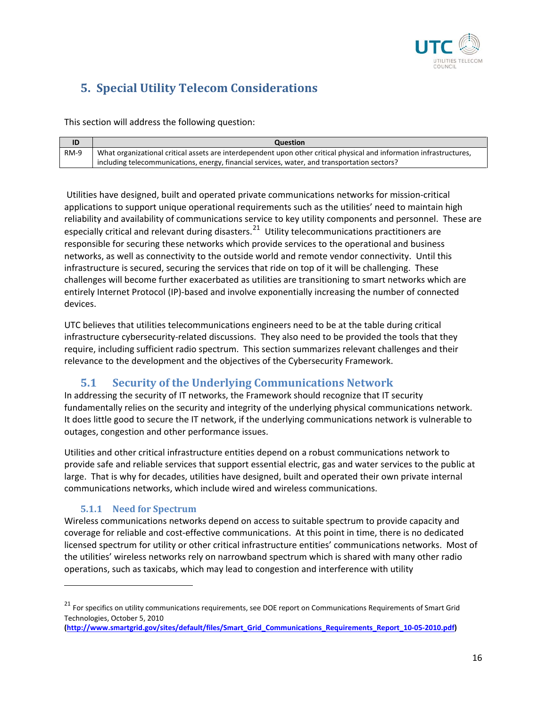

# **5. Special Utility Telecom Considerations**

This section will address the following question:

|        | <b>Question</b>                                                                                                      |
|--------|----------------------------------------------------------------------------------------------------------------------|
| $RM-9$ | What organizational critical assets are interdependent upon other critical physical and information infrastructures, |
|        | including telecommunications, energy, financial services, water, and transportation sectors?                         |

Utilities have designed, built and operated private communications networks for mission-critical applications to support unique operational requirements such as the utilities' need to maintain high reliability and availability of communications service to key utility components and personnel. These are especially critical and relevant during disasters.<sup>[21](#page-15-0)</sup> Utility telecommunications practitioners are responsible for securing these networks which provide services to the operational and business networks, as well as connectivity to the outside world and remote vendor connectivity. Until this infrastructure is secured, securing the services that ride on top of it will be challenging. These challenges will become further exacerbated as utilities are transitioning to smart networks which are entirely Internet Protocol (IP)-based and involve exponentially increasing the number of connected devices.

UTC believes that utilities telecommunications engineers need to be at the table during critical infrastructure cybersecurity-related discussions. They also need to be provided the tools that they require, including sufficient radio spectrum. This section summarizes relevant challenges and their relevance to the development and the objectives of the Cybersecurity Framework.

## **5.1 Security of the Underlying Communications Network**

In addressing the security of IT networks, the Framework should recognize that IT security fundamentally relies on the security and integrity of the underlying physical communications network. It does little good to secure the IT network, if the underlying communications network is vulnerable to outages, congestion and other performance issues.

Utilities and other critical infrastructure entities depend on a robust communications network to provide safe and reliable services that support essential electric, gas and water services to the public at large. That is why for decades, utilities have designed, built and operated their own private internal communications networks, which include wired and wireless communications.

#### **5.1.1 Need for Spectrum**

l

Wireless communications networks depend on access to suitable spectrum to provide capacity and coverage for reliable and cost-effective communications. At this point in time, there is no dedicated licensed spectrum for utility or other critical infrastructure entities' communications networks. Most of the utilities' wireless networks rely on narrowband spectrum which is shared with many other radio operations, such as taxicabs, which may lead to congestion and interference with utility

<span id="page-15-0"></span><sup>&</sup>lt;sup>21</sup> For specifics on utility communications requirements, see DOE report on Communications Requirements of Smart Grid Technologies, October 5, 2010

**[<sup>\(</sup>http://www.smartgrid.gov/sites/default/files/Smart\\_Grid\\_Communications\\_Requirements\\_Report\\_10-05-2010.pdf\)](http://www.smartgrid.gov/sites/default/files/Smart_Grid_Communications_Requirements_Report_10-05-2010.pdf)**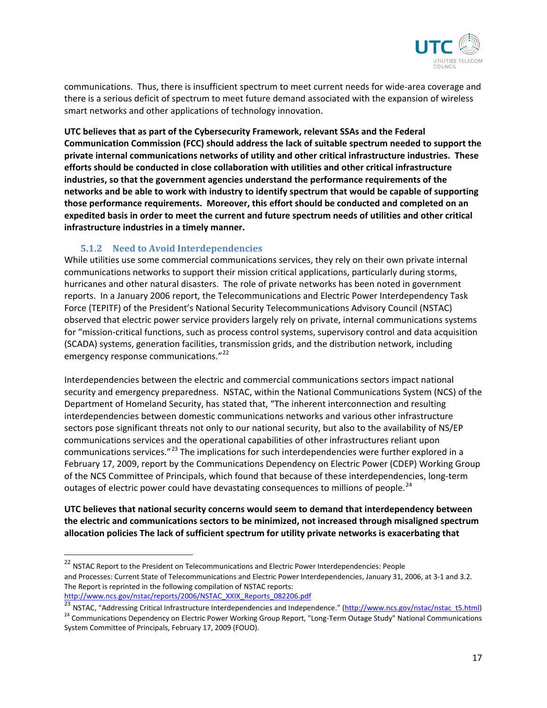

communications. Thus, there is insufficient spectrum to meet current needs for wide-area coverage and there is a serious deficit of spectrum to meet future demand associated with the expansion of wireless smart networks and other applications of technology innovation.

**UTC believes that as part of the Cybersecurity Framework, relevant SSAs and the Federal Communication Commission (FCC) should address the lack of suitable spectrum needed to support the private internal communications networks of utility and other critical infrastructure industries. These efforts should be conducted in close collaboration with utilities and other critical infrastructure industries, so that the government agencies understand the performance requirements of the networks and be able to work with industry to identify spectrum that would be capable of supporting those performance requirements. Moreover, this effort should be conducted and completed on an expedited basis in order to meet the current and future spectrum needs of utilities and other critical infrastructure industries in a timely manner.** 

#### **5.1.2 Need to Avoid Interdependencies**

 $\overline{\phantom{a}}$ 

While utilities use some commercial communications services, they rely on their own private internal communications networks to support their mission critical applications, particularly during storms, hurricanes and other natural disasters. The role of private networks has been noted in government reports. In a January 2006 report, the Telecommunications and Electric Power Interdependency Task Force (TEPITF) of the President's National Security Telecommunications Advisory Council (NSTAC) observed that electric power service providers largely rely on private, internal communications systems for "mission-critical functions, such as process control systems, supervisory control and data acquisition (SCADA) systems, generation facilities, transmission grids, and the distribution network, including emergency response communications."<sup>[22](#page-16-0)</sup>

Interdependencies between the electric and commercial communications sectors impact national security and emergency preparedness. NSTAC, within the National Communications System (NCS) of the Department of Homeland Security, has stated that, "The inherent interconnection and resulting interdependencies between domestic communications networks and various other infrastructure sectors pose significant threats not only to our national security, but also to the availability of NS/EP communications services and the operational capabilities of other infrastructures reliant upon communications services."<sup>[23](#page-16-1)</sup> The implications for such interdependencies were further explored in a February 17, 2009, report by the Communications Dependency on Electric Power (CDEP) Working Group of the NCS Committee of Principals, which found that because of these interdependencies, long-term outages of electric power could have devastating consequences to millions of people.<sup>[24](#page-16-2)</sup>

**UTC believes that national security concerns would seem to demand that interdependency between the electric and communications sectors to be minimized, not increased through misaligned spectrum allocation policies The lack of sufficient spectrum for utility private networks is exacerbating that** 

<span id="page-16-0"></span><sup>&</sup>lt;sup>22</sup> NSTAC Report to the President on Telecommunications and Electric Power Interdependencies: People and Processes: Current State of Telecommunications and Electric Power Interdependencies, January 31, 2006, at 3-1 and 3.2. The Report is reprinted in the following compilation of NSTAC reports: [http://www.ncs.gov/nstac/reports/2006/NSTAC\\_XXIX\\_Reports\\_082206.pdf](http://www.ncs.gov/nstac/reports/2006/NSTAC_XXIX_Reports_082206.pdf)

<span id="page-16-1"></span><sup>23</sup> NSTAC, "Addressing Critical Infrastructure Interdependencies and Independence." [\(http://www.ncs.gov/nstac/nstac\\_t5.html\)](http://www.ncs.gov/nstac/nstac_t5.html)

<span id="page-16-2"></span><sup>&</sup>lt;sup>24</sup> Communications Dependency on Electric Power Working Group Report, "Long-Term Outage Study" National Communications System Committee of Principals, February 17, 2009 (FOUO).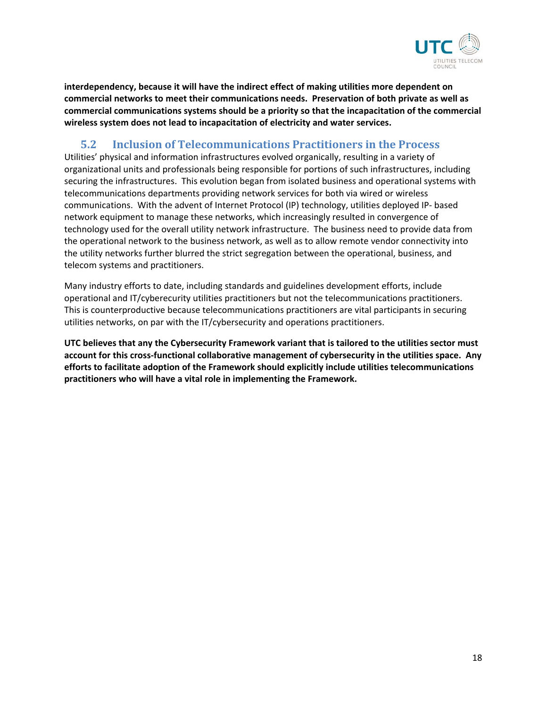

**interdependency, because it will have the indirect effect of making utilities more dependent on commercial networks to meet their communications needs. Preservation of both private as well as commercial communications systems should be a priority so that the incapacitation of the commercial wireless system does not lead to incapacitation of electricity and water services.** 

## **5.2 Inclusion of Telecommunications Practitioners in the Process**

Utilities' physical and information infrastructures evolved organically, resulting in a variety of organizational units and professionals being responsible for portions of such infrastructures, including securing the infrastructures. This evolution began from isolated business and operational systems with telecommunications departments providing network services for both via wired or wireless communications. With the advent of Internet Protocol (IP) technology, utilities deployed IP- based network equipment to manage these networks, which increasingly resulted in convergence of technology used for the overall utility network infrastructure. The business need to provide data from the operational network to the business network, as well as to allow remote vendor connectivity into the utility networks further blurred the strict segregation between the operational, business, and telecom systems and practitioners.

Many industry efforts to date, including standards and guidelines development efforts, include operational and IT/cyberecurity utilities practitioners but not the telecommunications practitioners. This is counterproductive because telecommunications practitioners are vital participants in securing utilities networks, on par with the IT/cybersecurity and operations practitioners.

**UTC believes that any the Cybersecurity Framework variant that is tailored to the utilities sector must account for this cross-functional collaborative management of cybersecurity in the utilities space. Any efforts to facilitate adoption of the Framework should explicitly include utilities telecommunications practitioners who will have a vital role in implementing the Framework.**